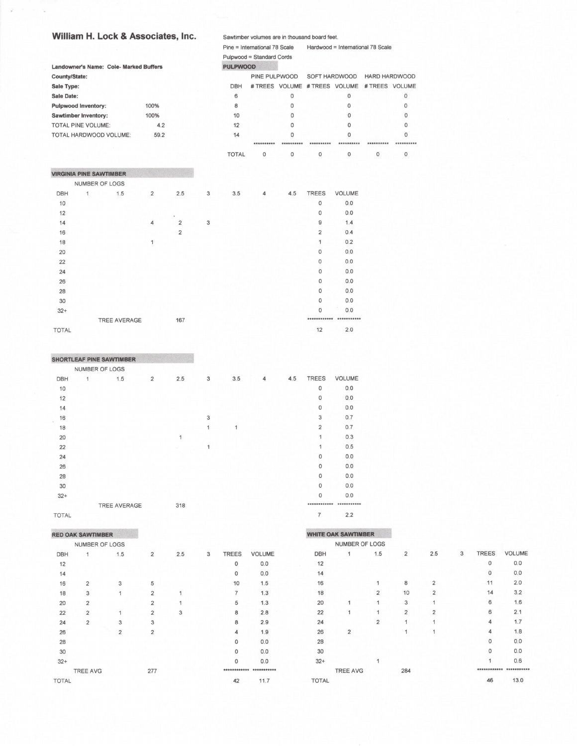## William H. Lock & Associates, lnc.

|               |                             |                                        | Pine = International 78 Scale<br>Hardwood = International 78 Scale |                |   |                           |               |            |                               |                         |                |            |
|---------------|-----------------------------|----------------------------------------|--------------------------------------------------------------------|----------------|---|---------------------------|---------------|------------|-------------------------------|-------------------------|----------------|------------|
|               |                             |                                        |                                                                    |                |   | Pulpwood = Standard Cords |               |            |                               |                         |                |            |
|               |                             | Landowner's Name: Cole- Marked Buffers |                                                                    |                |   | <b>PULPWOOD</b>           |               |            |                               |                         |                |            |
| County/State: |                             |                                        |                                                                    |                |   |                           | PINE PULPWOOD |            | SOFT HARDWOOD                 |                         | HARD HARDWOOD  |            |
| Sale Type:    |                             |                                        |                                                                    |                |   | <b>DBH</b>                |               |            | # TREES VOLUME # TREES VOLUME |                         | # TREES VOLUME |            |
| Sale Date:    |                             |                                        |                                                                    |                |   | 6                         |               | $\Omega$   |                               | $\mathbf 0$             |                | 0          |
|               | <b>Pulpwood Inventory:</b>  |                                        | 100%                                                               |                |   | 8                         |               | 0          |                               | $\circ$                 |                | 0          |
|               | <b>Sawtimber Inventory:</b> |                                        | 100%                                                               |                |   | 10                        |               | $\Omega$   |                               | $\Omega$                |                | $\Omega$   |
|               | <b>TOTAL PINE VOLUME:</b>   |                                        | 4.2                                                                |                |   | 12                        |               | $\Omega$   |                               | $\Omega$                |                | $\circ$    |
|               |                             | TOTAL HARDWOOD VOLUME:                 | 59.2                                                               |                |   | 14                        |               | $\Omega$   |                               | $\Omega$                |                | $\circ$    |
|               |                             |                                        |                                                                    |                |   |                           | **********    | ********** | **********                    | **********              | **********     | ********** |
|               |                             |                                        |                                                                    |                |   | <b>TOTAL</b>              | 0             | 0          | 0                             | 0                       | 0              | 0          |
|               |                             | <b>VIRGINIA PINE SAWTIMBER</b>         |                                                                    |                |   |                           |               |            |                               |                         |                |            |
|               | <b>NUMBER OF LOGS</b>       |                                        |                                                                    |                |   |                           |               |            |                               |                         |                |            |
| <b>DBH</b>    | 1                           | 1.5                                    | $\overline{2}$                                                     | 2.5            | 3 | 3.5                       | 4             | 4.5        | <b>TREES</b>                  | <b>VOLUME</b>           |                |            |
| 10            |                             |                                        |                                                                    |                |   |                           |               |            | $\Omega$                      | 0.0                     |                |            |
| 12            |                             |                                        |                                                                    |                |   |                           |               |            | 0                             | 0.0                     |                |            |
| 14            |                             |                                        | 4                                                                  | $\overline{2}$ | 3 |                           |               |            | 9                             | 1.4                     |                |            |
| 16            |                             |                                        |                                                                    | $\overline{2}$ |   |                           |               |            | $\overline{2}$                | 0.4                     |                |            |
| 18            |                             |                                        | $\mathbf{1}$                                                       |                |   |                           |               |            | 1                             | 0.2                     |                |            |
| 20            |                             |                                        |                                                                    |                |   |                           |               |            | 0                             | 0.0                     |                |            |
| 22            |                             |                                        |                                                                    |                |   |                           |               |            | $\circ$                       | 0.0                     |                |            |
| 24            |                             |                                        |                                                                    |                |   |                           |               |            | O                             | 0,0                     |                |            |
| 26            |                             |                                        |                                                                    |                |   |                           |               |            | 0                             | 0.0                     |                |            |
| 28            |                             |                                        |                                                                    |                |   |                           |               |            | $\Omega$                      | 0.0                     |                |            |
| 30            |                             |                                        |                                                                    |                |   |                           |               |            | $\circ$                       | 0.0                     |                |            |
| $32+$         |                             |                                        |                                                                    |                |   |                           |               |            | 0                             | 0.0                     |                |            |
|               |                             | <b>TREE AVERAGE</b>                    |                                                                    | 167            |   |                           |               |            |                               | ************ ********** |                |            |
| <b>TOTAL</b>  |                             |                                        |                                                                    |                |   |                           |               |            | 12                            | 2.0                     |                |            |

Sawtimber volumes are in thousand board feet.

## SHORTLEAF PINE SAWTIMBER

|              | NUMBER OF LOGS |                |     |   |     |   |     |                |        |
|--------------|----------------|----------------|-----|---|-----|---|-----|----------------|--------|
| DBH          | 1.5<br>1       | $\overline{2}$ | 2.5 | 3 | 3.5 | 4 | 4.5 | <b>TREES</b>   | VOLUME |
| 10           |                |                |     |   |     |   |     | 0              | 0.0    |
| 12           |                |                |     |   |     |   |     | $\circ$        | 0.0    |
| 14           |                |                |     |   |     |   |     | $\mathbf 0$    | 0.0    |
| 16           |                |                |     | 3 |     |   |     | 3              | 0.7    |
| 18           |                |                |     | 1 | 1   |   |     | $\overline{2}$ | 0.7    |
| 20           |                |                | 1   |   |     |   |     | $\mathbf{1}$   | 0.3    |
| 22           |                |                |     | 1 |     |   |     | $\mathbf{1}$   | 0.5    |
| 24           |                |                |     |   |     |   |     | $\mathbf 0$    | 0.0    |
| 26           |                |                |     |   |     |   |     | $\circ$        | 0.0    |
| 28           |                |                |     |   |     |   |     | $\circ$        | 0.0    |
| 30           |                |                |     |   |     |   |     | 0              | 0.0    |
| $32+$        |                |                |     |   |     |   |     | $\Omega$       | 0.0    |
|              | TREE AVERAGE   |                | 318 |   |     |   |     |                |        |
| <b>TOTAL</b> |                |                |     |   |     |   |     | $\overline{7}$ | 2.2    |

TOTAL

## RED OAK SAWTIMBER

|              | NUMBER OF LOGS  |                |                |     |   |                |               |  |
|--------------|-----------------|----------------|----------------|-----|---|----------------|---------------|--|
| <b>DBH</b>   | 1               | 1.5            | $\overline{2}$ | 2.5 | 3 | <b>TREES</b>   | <b>VOLUME</b> |  |
| 12           |                 |                |                |     |   | 0              | 0.0           |  |
| 14           |                 |                |                |     |   | $\mathbf 0$    | 0.0           |  |
| 16           | $\overline{2}$  | 3              | 5              |     |   | 10             | 1.5           |  |
| 18           | 3               | $\mathbf{1}$   | $\overline{2}$ | 1   |   | $\overline{7}$ | 1.3           |  |
| 20           | $\overline{2}$  |                | $\overline{2}$ | 1   |   | 5              | 1.3           |  |
| 22           | $\overline{2}$  | 1              | $\overline{2}$ | 3   |   | 8              | 2.8           |  |
| 24           | $\overline{2}$  | 3              | 3              |     |   | 8              | 2.9           |  |
| 26           |                 | $\overline{2}$ | $\overline{2}$ |     |   | 4              | 1.9           |  |
| 28           |                 |                |                |     |   | 0              | 0.0           |  |
| 30           |                 |                |                |     |   | $\mathbf 0$    | 0.0           |  |
| $32+$        |                 |                |                |     |   | 0              | 0.0           |  |
|              | <b>TREE AVG</b> |                | 277            |     |   |                |               |  |
| <b>TOTAL</b> |                 |                |                |     |   | 42             | 11.7          |  |

|            | <b>WHITE OAK SAWTIMBER</b> |                |                |                |   |              |               |
|------------|----------------------------|----------------|----------------|----------------|---|--------------|---------------|
|            | <b>NUMBER OF LOGS</b>      |                |                |                |   |              |               |
| <b>DBH</b> | 1                          | 1.5            | $\overline{2}$ | 2.5            | 3 | <b>TREES</b> | <b>VOLUME</b> |
| 12         |                            |                |                |                |   | $\mathbf 0$  | 0.0           |
| 14         |                            |                |                |                |   | $\mathbf 0$  | 0.0           |
| 16         |                            | 1              | 8              | $\overline{2}$ |   | 11           | 2.0           |
| 18         |                            | $\overline{2}$ | 10             | $\overline{2}$ |   | 14           | 3.2           |
| 20         | 1                          | 1              | 3              | 1              |   | 6            | 1.6           |
| 22         | 1                          | 1              | $\overline{2}$ | $\overline{2}$ |   | 6            | 2.1           |
| 24         |                            | $\overline{2}$ | 1              | 1              |   | 4            | 1.7           |
| 26         | $\overline{2}$             |                | 1              | 1              |   | 4            | 1.8           |
| 28         |                            |                |                |                |   | 0            | 0.0           |
| 30         |                            |                |                |                |   | $\Omega$     | 0.0           |
| $32+$      |                            | 1              |                |                |   | 1            | 0.6           |
|            | <b>TREE AVG</b>            |                | 284            |                |   |              |               |

46

 $13.0$ 

TOTAL